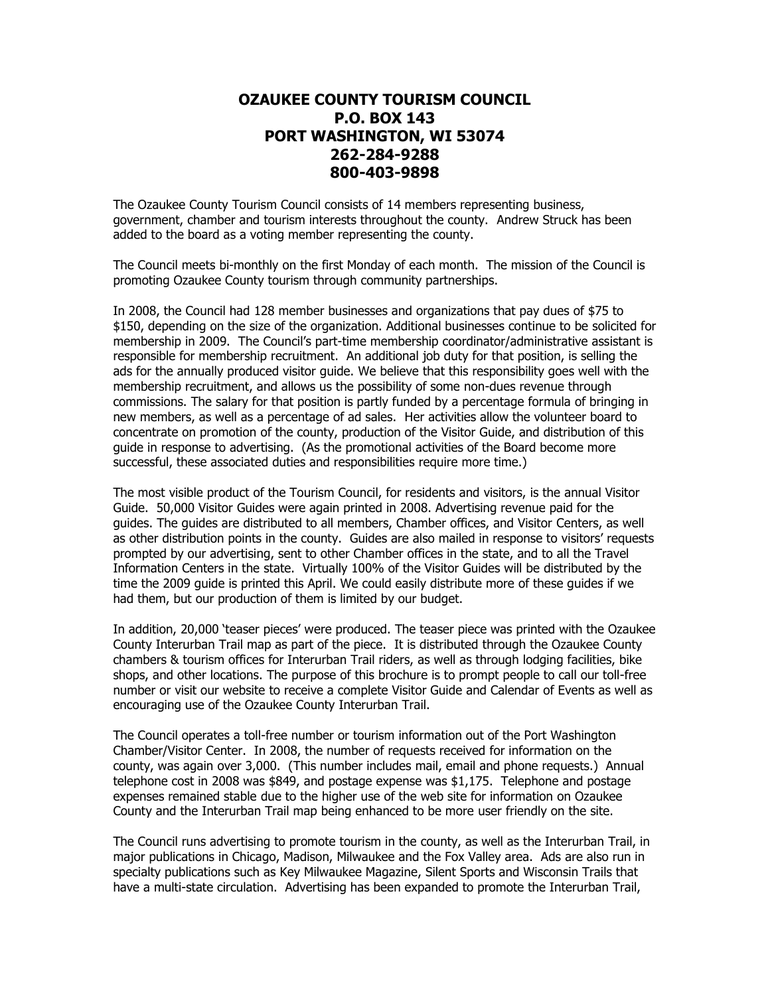## **OZAUKEE COUNTY TOURISM COUNCIL P.O. BOX 143 PORT WASHINGTON, WI 53074 262-284-9288 800-403-9898**

The Ozaukee County Tourism Council consists of 14 members representing business, government, chamber and tourism interests throughout the county. Andrew Struck has been added to the board as a voting member representing the county.

The Council meets bi-monthly on the first Monday of each month. The mission of the Council is promoting Ozaukee County tourism through community partnerships.

In 2008, the Council had 128 member businesses and organizations that pay dues of \$75 to \$150, depending on the size of the organization. Additional businesses continue to be solicited for membership in 2009. The Council's part-time membership coordinator/administrative assistant is responsible for membership recruitment. An additional job duty for that position, is selling the ads for the annually produced visitor guide. We believe that this responsibility goes well with the membership recruitment, and allows us the possibility of some non-dues revenue through commissions. The salary for that position is partly funded by a percentage formula of bringing in new members, as well as a percentage of ad sales. Her activities allow the volunteer board to concentrate on promotion of the county, production of the Visitor Guide, and distribution of this guide in response to advertising. (As the promotional activities of the Board become more successful, these associated duties and responsibilities require more time.)

The most visible product of the Tourism Council, for residents and visitors, is the annual Visitor Guide. 50,000 Visitor Guides were again printed in 2008. Advertising revenue paid for the guides. The guides are distributed to all members, Chamber offices, and Visitor Centers, as well as other distribution points in the county. Guides are also mailed in response to visitors' requests prompted by our advertising, sent to other Chamber offices in the state, and to all the Travel Information Centers in the state. Virtually 100% of the Visitor Guides will be distributed by the time the 2009 guide is printed this April. We could easily distribute more of these guides if we had them, but our production of them is limited by our budget.

In addition, 20,000 'teaser pieces' were produced. The teaser piece was printed with the Ozaukee County Interurban Trail map as part of the piece. It is distributed through the Ozaukee County chambers & tourism offices for Interurban Trail riders, as well as through lodging facilities, bike shops, and other locations. The purpose of this brochure is to prompt people to call our toll-free number or visit our website to receive a complete Visitor Guide and Calendar of Events as well as encouraging use of the Ozaukee County Interurban Trail.

The Council operates a toll-free number or tourism information out of the Port Washington Chamber/Visitor Center. In 2008, the number of requests received for information on the county, was again over 3,000. (This number includes mail, email and phone requests.) Annual telephone cost in 2008 was \$849, and postage expense was \$1,175. Telephone and postage expenses remained stable due to the higher use of the web site for information on Ozaukee County and the Interurban Trail map being enhanced to be more user friendly on the site.

The Council runs advertising to promote tourism in the county, as well as the Interurban Trail, in major publications in Chicago, Madison, Milwaukee and the Fox Valley area. Ads are also run in specialty publications such as Key Milwaukee Magazine, Silent Sports and Wisconsin Trails that have a multi-state circulation. Advertising has been expanded to promote the Interurban Trail,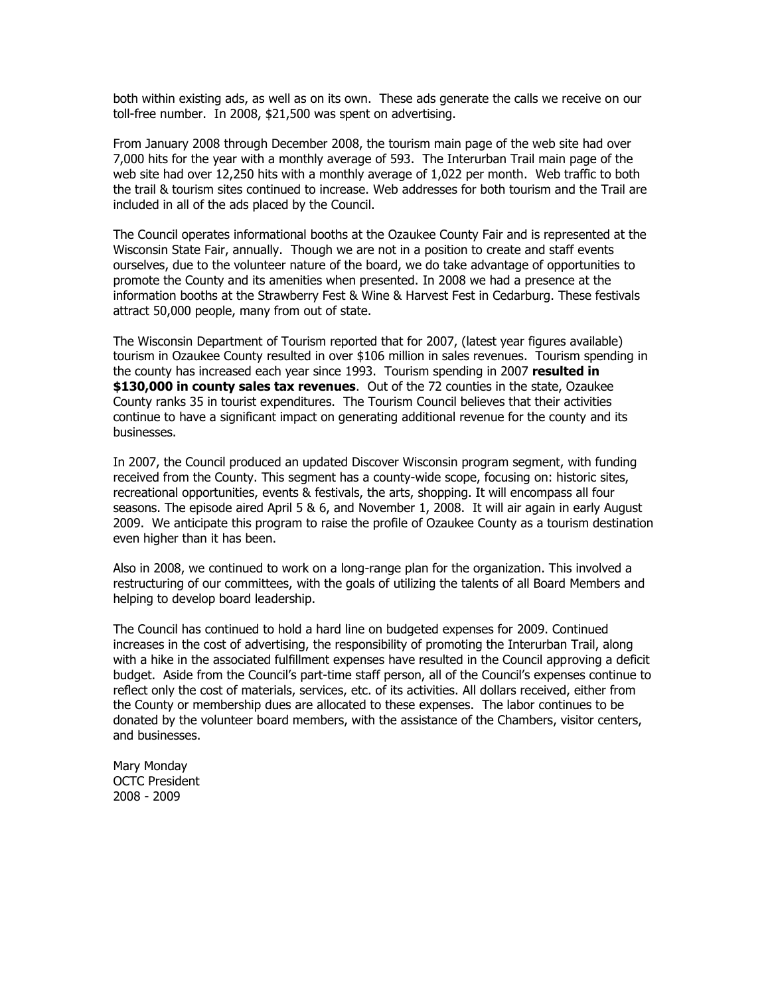both within existing ads, as well as on its own. These ads generate the calls we receive on our toll-free number. In 2008, \$21,500 was spent on advertising.

From January 2008 through December 2008, the tourism main page of the web site had over 7,000 hits for the year with a monthly average of 593. The Interurban Trail main page of the web site had over 12,250 hits with a monthly average of 1,022 per month. Web traffic to both the trail & tourism sites continued to increase. Web addresses for both tourism and the Trail are included in all of the ads placed by the Council.

The Council operates informational booths at the Ozaukee County Fair and is represented at the Wisconsin State Fair, annually. Though we are not in a position to create and staff events ourselves, due to the volunteer nature of the board, we do take advantage of opportunities to promote the County and its amenities when presented. In 2008 we had a presence at the information booths at the Strawberry Fest & Wine & Harvest Fest in Cedarburg. These festivals attract 50,000 people, many from out of state.

The Wisconsin Department of Tourism reported that for 2007, (latest year figures available) tourism in Ozaukee County resulted in over \$106 million in sales revenues. Tourism spending in the county has increased each year since 1993. Tourism spending in 2007 **resulted in \$130,000 in county sales tax revenues**. Out of the 72 counties in the state, Ozaukee County ranks 35 in tourist expenditures. The Tourism Council believes that their activities continue to have a significant impact on generating additional revenue for the county and its businesses.

In 2007, the Council produced an updated Discover Wisconsin program segment, with funding received from the County. This segment has a county-wide scope, focusing on: historic sites, recreational opportunities, events & festivals, the arts, shopping. It will encompass all four seasons. The episode aired April 5 & 6, and November 1, 2008. It will air again in early August 2009. We anticipate this program to raise the profile of Ozaukee County as a tourism destination even higher than it has been.

Also in 2008, we continued to work on a long-range plan for the organization. This involved a restructuring of our committees, with the goals of utilizing the talents of all Board Members and helping to develop board leadership.

The Council has continued to hold a hard line on budgeted expenses for 2009. Continued increases in the cost of advertising, the responsibility of promoting the Interurban Trail, along with a hike in the associated fulfillment expenses have resulted in the Council approving a deficit budget. Aside from the Council's part-time staff person, all of the Council's expenses continue to reflect only the cost of materials, services, etc. of its activities. All dollars received, either from the County or membership dues are allocated to these expenses. The labor continues to be donated by the volunteer board members, with the assistance of the Chambers, visitor centers, and businesses.

Mary Monday OCTC President 2008 - 2009